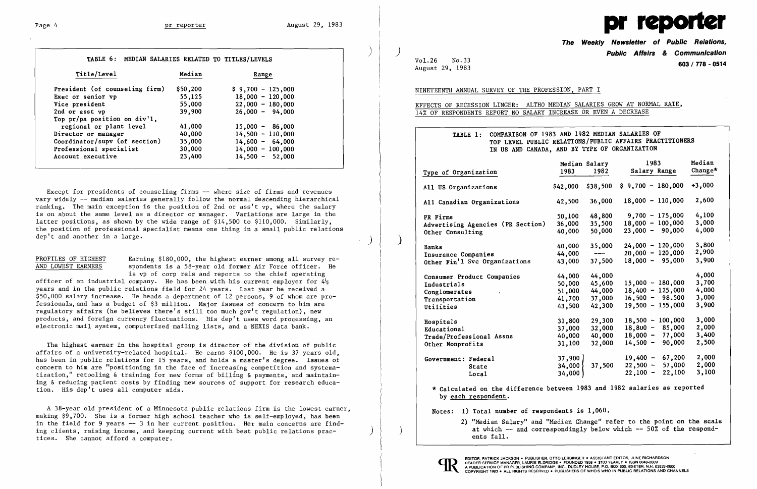

| Title/Level                       | Median   | Range              |
|-----------------------------------|----------|--------------------|
| President (of counseling firm)    | \$50,200 | $$9,700 - 125,000$ |
| Exec or senior vp                 | 55,125   | $18,000 - 120,000$ |
| Vice president                    | 55,000   | $22,000 - 180,000$ |
| 2nd or asst vp                    | 39,900   | $26,000 - 94,000$  |
| Top $pr/pa$ position on $div'1$ , |          |                    |
| regional or plant level           | 41,000   | $15,000 - 86,000$  |
| Director or manager               | 40,000   | $14,500 - 110,000$ |
| Coordinator/supv (of section)     | 35,000   | $14,600 - 64,000$  |
| Professional specialist           | 30,000   | $14,000 - 100,000$ |
| Account executive                 | 23,400   | $14,500 - 52,000$  |

PROFILES OF HIGHEST Earning \$180,000, the highest earner among all survey re-<br>AND LOWEST EARNERS spondents is a 58-year old former Air Force officer. He spondents is a 58-year old former Air Force officer. He is vp of corp re1s and reports to the chief operating

Except for presidents of counseling firms -- where size of firms and revenues vary widely -- median salaries generally follow the normal descending hierarchical ranking. The main exception is the position of 2nd or ass't vp, where the salary is on about the same level as a director or manager. Variations are large in the latter positions, as shown by the wide range of \$14,500 to \$110,000. Similarly, the position of professional specialist means one thing in a small public relations dep't and another in a large.

officer of an industrial company. He has been with his current employer for  $4\frac{1}{2}$ years and in the public relations field for 24 years. Last year he received a \$50,000 salary increase. He heads a department of 12 persons, 9 of whom are professiona1s,and has a budget of \$3 million. Major issues of concern to him are regulatory affairs (he believes there's still too much gov't regulation), new products, and foreign currency fluctuations. His dep't uses word processing, an electronic mail system, computerized mailing lists, and a NEXIS data bank.

The highest earner in the hospital group is director of the division of public affairs of a university-related hospital. He earns \$100,000. He is 37 years old, has been in public relations for 15 years, and holds a master's degree. Issues of concern to him are "positioning in the face of increasing competition and systematization," retooling & training for new forms of billing & payments, and maintaining & reducing patient costs by finding new sources of support for research education. His dep't uses all computer aids.

A 38-year old president of a Minnesota public relations firm is the lowest earner, making \$9,700. She is a former high school teacher who is self-employed, has been in the field for 9 years -- 3 in her current position. Her main concerns are finding clients, raising income, and keeping current with best public relations practices. She cannot afford a computer.

**The Weekly Newsletter of Public Relations, Public Affairs & Communication** 

| Median Salary<br>1983 1982     |                            | 1983<br>Salary Range                                                                            | Median<br>Change*       |
|--------------------------------|----------------------------|-------------------------------------------------------------------------------------------------|-------------------------|
| 000,42                         | \$38,500                   | $$9,700 - 180,000$                                                                              | +3,000                  |
| 500, 4                         | 36,000                     | $18,000 - 110,000$                                                                              | 2,600                   |
| 50,100<br>000, 16              | 48,800<br>35,500           | $9,700 - 175,000$<br>100,000<br>18,000 -                                                        | 4,100<br>3,000          |
| 000,40                         | 50,000                     | $23,000 - 90,000$                                                                               | 4,000                   |
| 000,40<br>44,000∔<br>000, 43   | 35,000<br>---<br>37,500    | 24,000 - 120,000<br>$-120,000$<br>20,000<br>$18,000 - 95,000$                                   | 3,800<br>2,900<br>3,900 |
| 44,000<br>50,000               | 44,000<br>45,600           | 15,000 - 180,000                                                                                | 4,000<br>3,700          |
| 51,000<br>41,700               | 44,000<br>37,000           | 125,000<br>$18,400 -$<br>$16,500 - 98.500$                                                      | 4,000<br>3,000          |
| 43,500                         | 42,300                     | $19,500 - 155,000$                                                                              | 3,900                   |
| 31,800<br>37,000<br>40,000     | 29,300<br>32,000<br>40,000 | 100,000<br>18,500<br>$\overline{\phantom{0}}$<br>85,000<br>18,800<br>-<br>77,000<br>18,000<br>- | 3,000<br>2,000<br>3,400 |
| 31,100                         | 32,000                     | 90,000<br>14,500<br>$\overline{\phantom{0}}$                                                    | 2,500                   |
| 37,900  <br>34,000 }<br>34,000 | 37,500                     | 67,200<br>19,400 -<br>$22,500 -$<br>57,000<br>22,100<br>$22,100 -$                              | 2,000<br>2,000<br>3,100 |

Vol. 26 No. 33 **603/ 778 - 0514** August 29, 1983 NINETEENTH ANNUAL SURVEY OF THE PROFESSION, PART I EFFECTS OF RECESSION LINGER: ALTHO MEDIAN SALARIES GROW AT NORMAL RATE, 14% OF RESPONDENTS REPORT NO SALARY INCREASE OR EVEN A DECREASE TABLE 1: COMPARISON OF 1983 AND 1982 MEDIAN SALARIES OF TOP LEVEL PUBLIC RELATIONS/PUBLIC AFFAIRS PRACTITIONERS IN US AND CANADA, AND BY TYPE OF ORGANIZATION Type of Organization All US Organizations All Canadian Organizations PR Firms Advertising Agencies (PR Section) Other Consulting , Banks Insurance Companies Other Fin'l Svc Organizations Consumer Product Companies Industrials Conglomerates Transportation Utilities Hospitals Educational Trade/Professional Assns Other Nonprofits Government: Federal State Local Median Salary 1983 1982 1983 Salary Range Median Change\* \$42,000 \$38,500 \$ 9,700 - 180,000 +3,000 42,500 36,000 18,000 - 110,000 2,600 50,100 36,000 40,000 48,800 35,500 50,000 9,700 18,000 23,000  $-175,000$  $-100,000$  $-90,000$ 4,100 3,000 4,000 40,000 44,000 43,000 35,000  $\frac{1}{1}$ 37,500 24,000 20,000 18,000  $-120,000$  $-120,000$ - 95,000 3,800 2,900 3,900 44,000 50,000 51,000 41,700 43,500 44,000 45,600 44,000 37,000 42,300 15,000 18,400 16,500 19,500  $-180,000$  $-125,000$ - 98.500  $-155,000$ 4,000 3,700 4,000 3,000 3,900 31,800 37,000 40,000 31,100 29,300 32,000 40,000 32,000 18,500 - 100,000  $18,800 - 85,000$ 18,000 - 77 ,000 14,500 - 90,000 3,000 2,000 3,400 2,500 37,900 34,000 34,000 37,500 19,400 22,500 22,100 - - - 67,200 57,000 22,100 2,000 2,000 3,100 \* Calculated on the difference between 1983 and 1982 salaries as reported by each respondent. Notes: 1) Total number of respondents is 1,060. 2) "Median Salary" and "Median Change" refer to the point on the scale at which -- and correspondingly below which -- 50% of the respondents fall.



 $\sum_{i=1}^{n}$ 

 $\vert$  )

) | )

 $\big)$ 

 $\left( \begin{array}{c} \end{array} \right)$